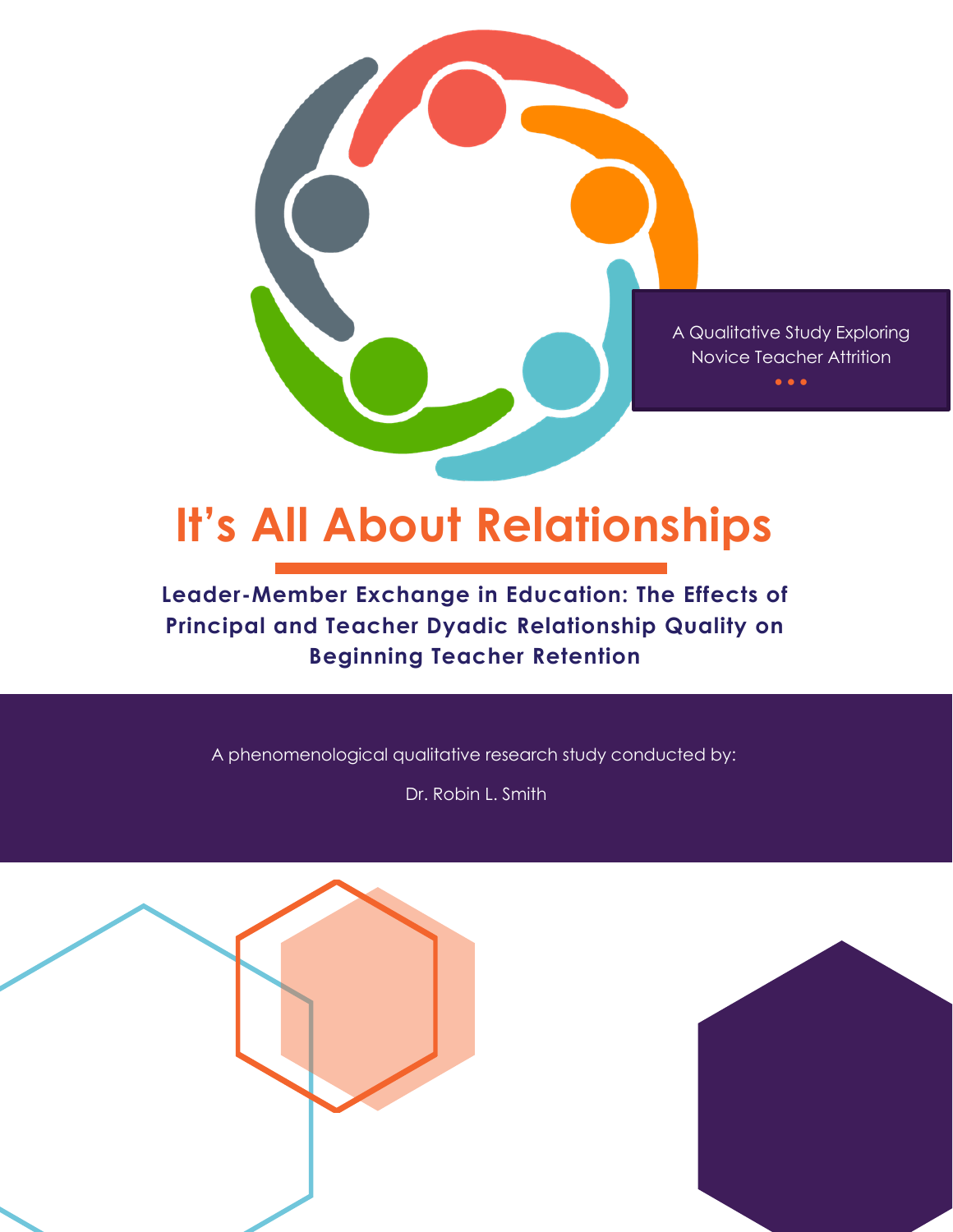

# **Leader-Member Exchange in Education: The Effects of Principal and Teacher Dyadic Relationship Quality on Beginning Teacher Retention**

A phenomenological qualitative research study conducted by:

Dr. Robin L. Smith



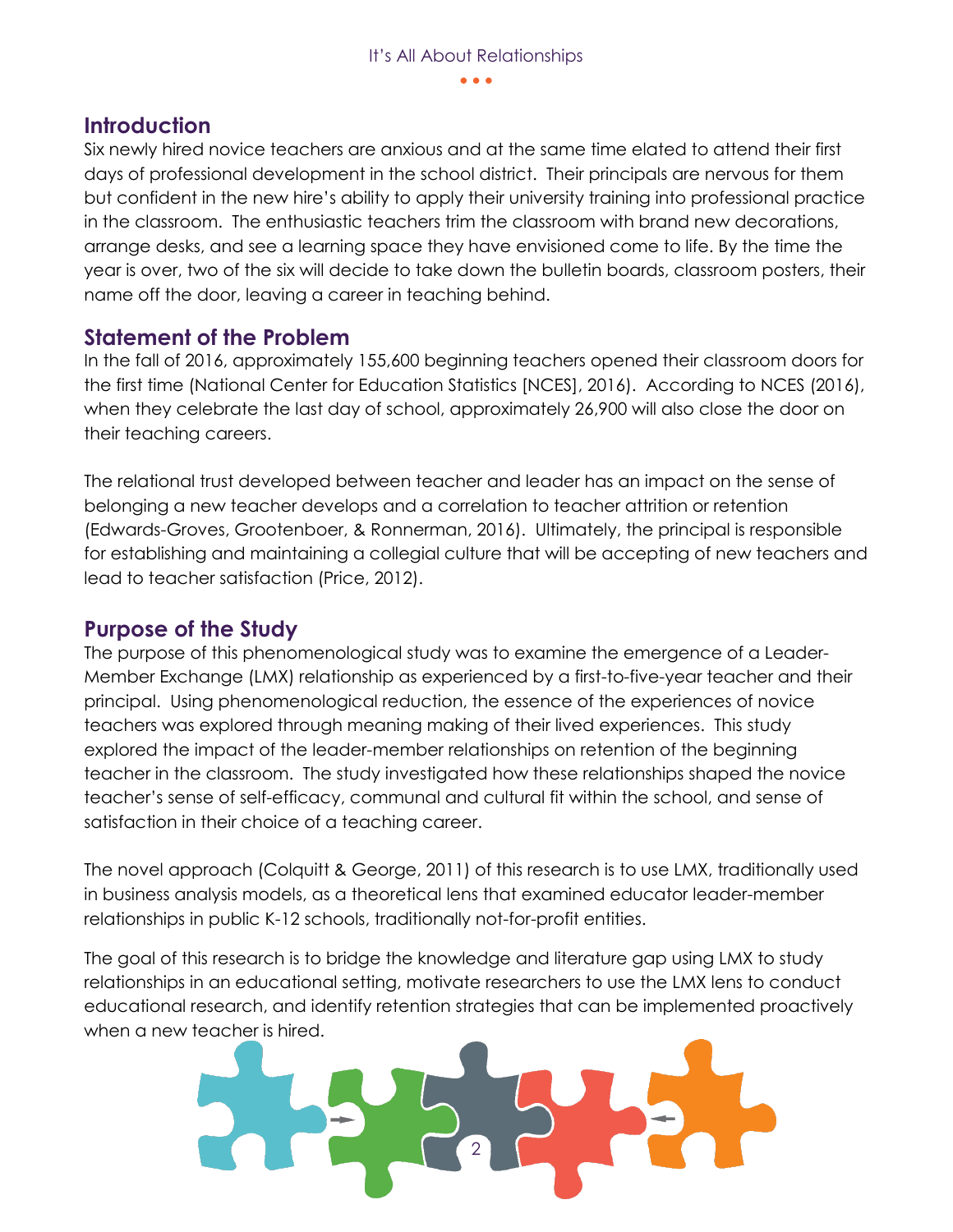## **Introduction**

Six newly hired novice teachers are anxious and at the same time elated to attend their first days of professional development in the school district. Their principals are nervous for them but confident in the new hire's ability to apply their university training into professional practice in the classroom. The enthusiastic teachers trim the classroom with brand new decorations, arrange desks, and see a learning space they have envisioned come to life. By the time the year is over, two of the six will decide to take down the bulletin boards, classroom posters, their name off the door, leaving a career in teaching behind.

## **Statement of the Problem**

In the fall of 2016, approximately 155,600 beginning teachers opened their classroom doors for the first time (National Center for Education Statistics [NCES], 2016). According to NCES (2016), when they celebrate the last day of school, approximately 26,900 will also close the door on their teaching careers.

The relational trust developed between teacher and leader has an impact on the sense of belonging a new teacher develops and a correlation to teacher attrition or retention (Edwards-Groves, Grootenboer, & Ronnerman, 2016). Ultimately, the principal is responsible for establishing and maintaining a collegial culture that will be accepting of new teachers and lead to teacher satisfaction (Price, 2012).

## **Purpose of the Study**

The purpose of this phenomenological study was to examine the emergence of a Leader-Member Exchange (LMX) relationship as experienced by a first-to-five-year teacher and their principal. Using phenomenological reduction, the essence of the experiences of novice teachers was explored through meaning making of their lived experiences. This study explored the impact of the leader-member relationships on retention of the beginning teacher in the classroom. The study investigated how these relationships shaped the novice teacher's sense of self-efficacy, communal and cultural fit within the school, and sense of satisfaction in their choice of a teaching career.

The novel approach (Colquitt & George, 2011) of this research is to use LMX, traditionally used in business analysis models, as a theoretical lens that examined educator leader-member relationships in public K-12 schools, traditionally not-for-profit entities.

The goal of this research is to bridge the knowledge and literature gap using LMX to study relationships in an educational setting, motivate researchers to use the LMX lens to conduct educational research, and identify retention strategies that can be implemented proactively when a new teacher is hired.

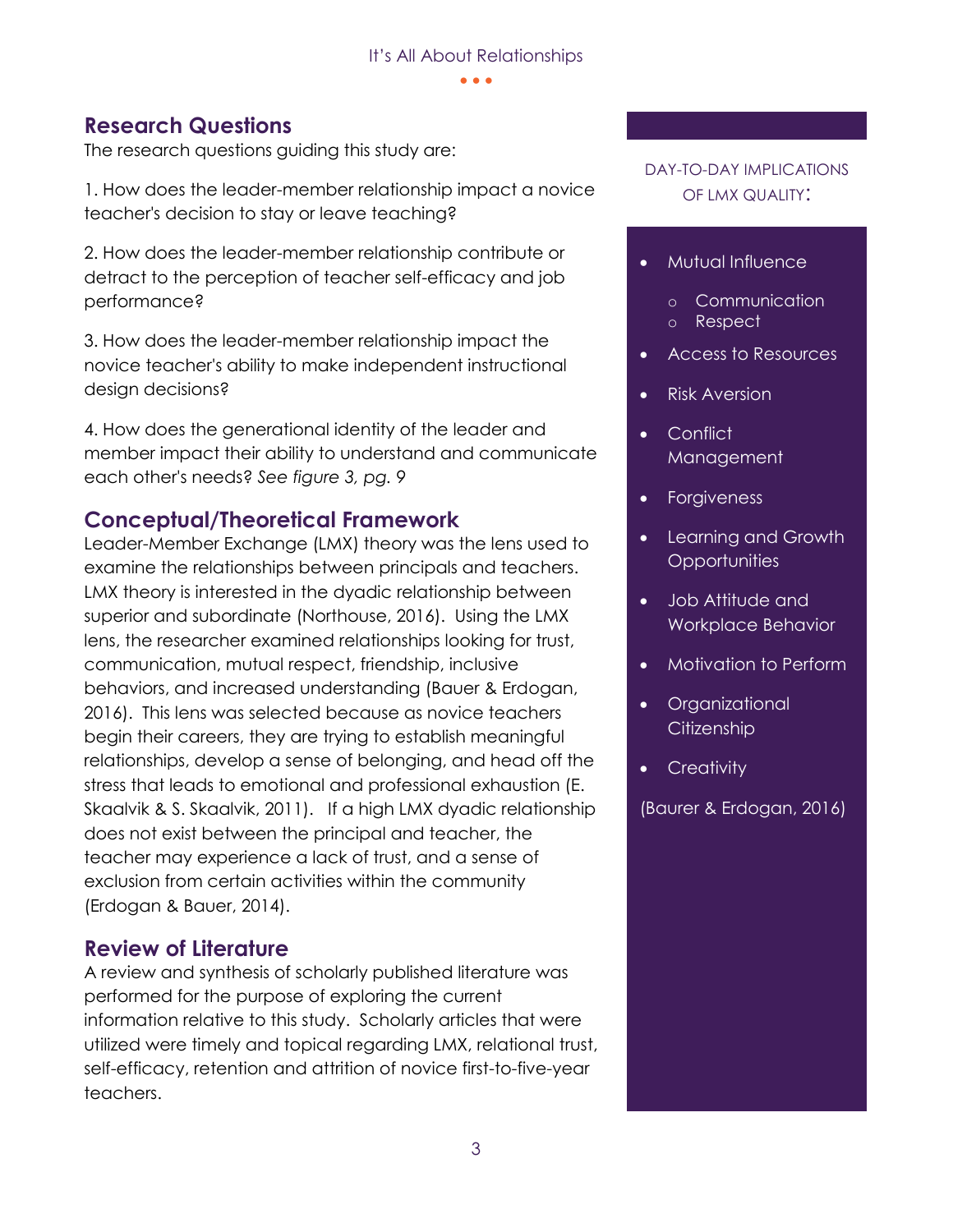#### • • •

## **Research Questions**

The research questions guiding this study are:

1. How does the leader-member relationship impact a novice teacher's decision to stay or leave teaching?

2. How does the leader-member relationship contribute or detract to the perception of teacher self-efficacy and job performance?

3. How does the leader-member relationship impact the novice teacher's ability to make independent instructional design decisions?

4. How does the generational identity of the leader and member impact their ability to understand and communicate each other's needs? *See figure 3, pg. 9*

## **Conceptual/Theoretical Framework**

Leader-Member Exchange (LMX) theory was the lens used to examine the relationships between principals and teachers. LMX theory is interested in the dyadic relationship between superior and subordinate (Northouse, 2016). Using the LMX lens, the researcher examined relationships looking for trust, communication, mutual respect, friendship, inclusive behaviors, and increased understanding (Bauer & Erdogan, 2016). This lens was selected because as novice teachers begin their careers, they are trying to establish meaningful relationships, develop a sense of belonging, and head off the stress that leads to emotional and professional exhaustion (E. Skaalvik & S. Skaalvik, 2011). If a high LMX dyadic relationship does not exist between the principal and teacher, the teacher may experience a lack of trust, and a sense of exclusion from certain activities within the community (Erdogan & Bauer, 2014).

## **Review of Literature**

A review and synthesis of scholarly published literature was performed for the purpose of exploring the current information relative to this study. Scholarly articles that were utilized were timely and topical regarding LMX, relational trust, self-efficacy, retention and attrition of novice first-to-five-year teachers.

#### DAY-TO-DAY IMPLICATIONS OF LMX QUALITY:

#### • Mutual Influence

- o Communication
- o Respect
- Access to Resources
- Risk Aversion
- Conflict Management
- Forgiveness
- Learning and Growth **Opportunities**
- Job Attitude and Workplace Behavior
- Motivation to Perform
- Organizational **Citizenship**
- Creativity

(Baurer & Erdogan, 2016)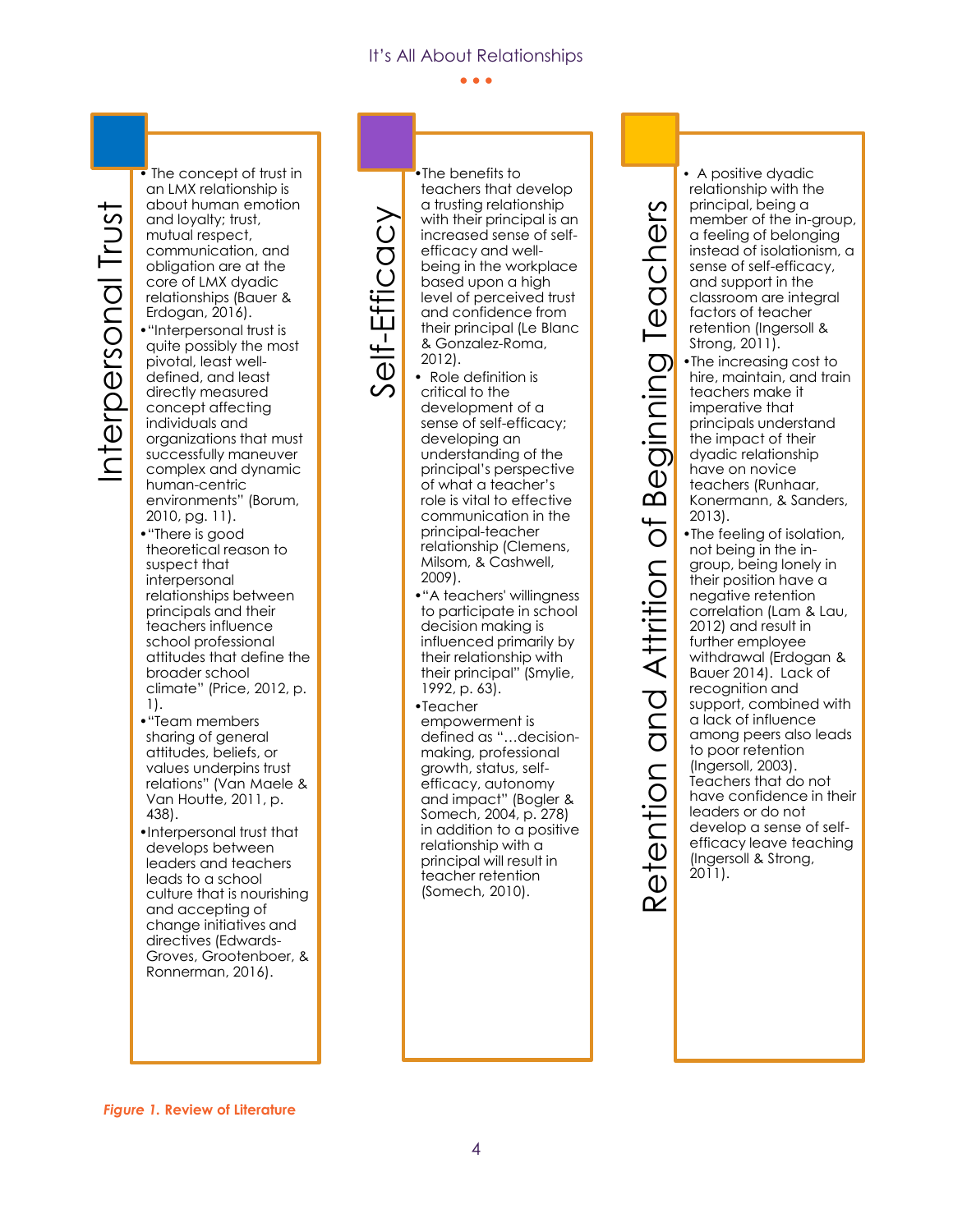• • •

**Figure 1. Figure 1. Figure 1. Review of Literature 1. Figure 1. Figure 1. Figure 1. Figure 1. Figure 1. Figure 1. Figure 1. Figure 1. Figure 1. Figure 1. Figure 1. Figure 1. Figure 1. C** The concept of trust in an LMX relationship is about human emotion and loyalty; trust, mutual respect, communication, and obligation are at the core of LMX dyadic relationships (Bauer & Erdogan, 2016). •"Interpersonal trust is quite possibly the most pivotal, least welldefined, and least directly measured concept affecting individuals and organizations that must successfully maneuver complex and dynamic human-centric environments" (Borum, 2010, pg. 11).

- •"There is good theoretical reason to suspect that interpersonal relationships between principals and their teachers influence school professional attitudes that define the broader school climate" (Price, 2012, p. 1).
- •"Team members sharing of general attitudes, beliefs, or values underpins trust relations" (Van Maele & Van Houtte, 2011, p. 438).
- •Interpersonal trust that develops between leaders and teachers leads to a school culture that is nourishing and accepting of change initiatives and directives (Edwards-Groves, Grootenboer, & Ronnerman, 2016).

-Efficacy •The benefits to teachers that develop a trusting relationship with their principal is an increased sense of selfefficacy and wellbeing in the workplace based upon a high level of perceived trust and confidence from their principal (Le Blanc & Gonzalez-Roma, 2012).

• Role definition is critical to the development of a sense of self-efficacy; developing an understanding of the principal's perspective of what a teacher's role is vital to effective communication in the principal-teacher relationship (Clemens,

Self

2009). •"A teachers' willingness to participate in school decision making is influenced primarily by their relationship with their principal" (Smylie, 1992, p. 63).

Milsom, & Cashwell,

•Teacher

empowerment is defined as "…decisionmaking, professional growth, status, selfefficacy, autonomy and impact" (Bogler & Somech, 2004, p. 278) in addition to a positive relationship with a principal will result in teacher retention (Somech, 2010).

etention and Attrition of Beginning Teachers Retention and Attrition of Beginning Teachers 2011).  $\overline{\mathsf{C}}$ 

• A positive dyadic relationship with the principal, being a member of the in-group, a feeling of belonging instead of isolationism, a sense of self-efficacy, and support in the classroom are integral factors of teacher retention (Ingersoll & Strong, 2011). •The increasing cost to hire, maintain, and train teachers make it imperative that principals understand the impact of their dyadic relationship have on novice teachers (Runhaar, Konermann, & Sanders, 2013). •The feeling of isolation, not being in the ingroup, being lonely in their position have a negative retention

correlation (Lam & Lau, 2012) and result in further employee withdrawal (Erdogan & Bauer 2014). Lack of recognition and support, combined with a lack of influence among peers also leads to poor retention (Ingersoll, 2003). Teachers that do not have confidence in their leaders or do not develop a sense of selfefficacy leave teaching (Ingersoll & Strong,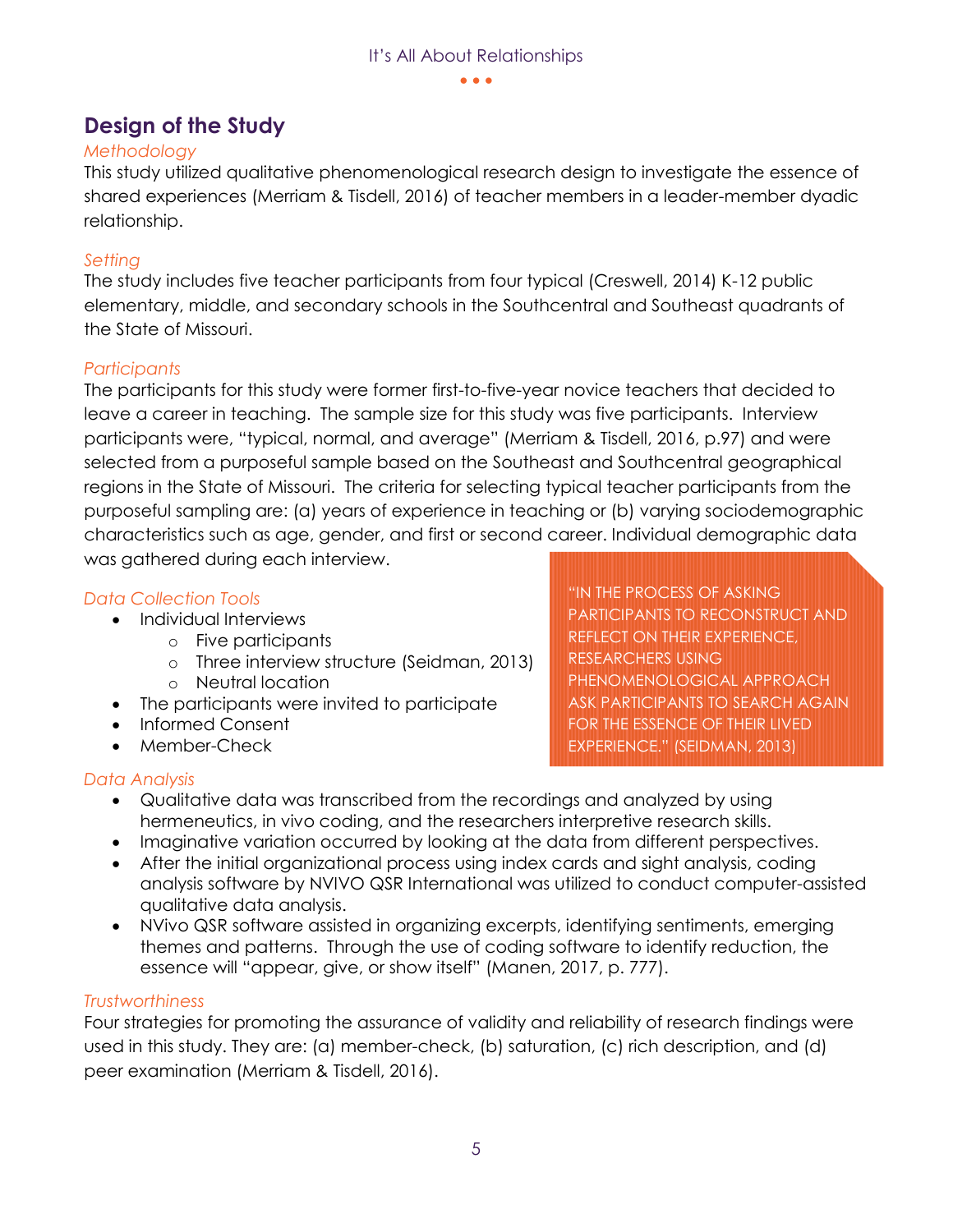• • •

# **Design of the Study**

## *Methodology*

This study utilized qualitative phenomenological research design to investigate the essence of shared experiences (Merriam & Tisdell, 2016) of teacher members in a leader-member dyadic relationship.

## *Setting*

The study includes five teacher participants from four typical (Creswell, 2014) K-12 public elementary, middle, and secondary schools in the Southcentral and Southeast quadrants of the State of Missouri.

## *Participants*

The participants for this study were former first-to-five-year novice teachers that decided to leave a career in teaching. The sample size for this study was five participants. Interview participants were, "typical, normal, and average" (Merriam & Tisdell, 2016, p.97) and were selected from a purposeful sample based on the Southeast and Southcentral geographical regions in the State of Missouri. The criteria for selecting typical teacher participants from the purposeful sampling are: (a) years of experience in teaching or (b) varying sociodemographic characteristics such as age, gender, and first or second career. Individual demographic data was gathered during each interview.

## *Data Collection Tools*

- Individual Interviews
	- o Five participants
	- o Three interview structure (Seidman, 2013)
	- o Neutral location
- The participants were invited to participate
- Informed Consent
- Member-Check

## *Data Analysis*

"IN THE PROCESS OF ASKING PARTICIPANTS TO RECONSTRUCT AND REFLECT ON THEIR EXPERIENCE, RESEARCHERS USING PHENOMENOLOGICAL APPROACH ASK PARTICIPANTS TO SEARCH AGAIN FOR THE ESSENCE OF THEIR LIVED EXPERIENCE." (SEIDMAN, 2013)

- Qualitative data was transcribed from the recordings and analyzed by using hermeneutics, in vivo coding, and the researchers interpretive research skills.
- Imaginative variation occurred by looking at the data from different perspectives.
- After the initial organizational process using index cards and sight analysis, coding analysis software by NVIVO QSR International was utilized to conduct computer-assisted qualitative data analysis.
- NVivo QSR software assisted in organizing excerpts, identifying sentiments, emerging themes and patterns. Through the use of coding software to identify reduction, the essence will "appear, give, or show itself" (Manen, 2017, p. 777).

#### *Trustworthiness*

Four strategies for promoting the assurance of validity and reliability of research findings were used in this study. They are: (a) member-check, (b) saturation, (c) rich description, and (d) peer examination (Merriam & Tisdell, 2016).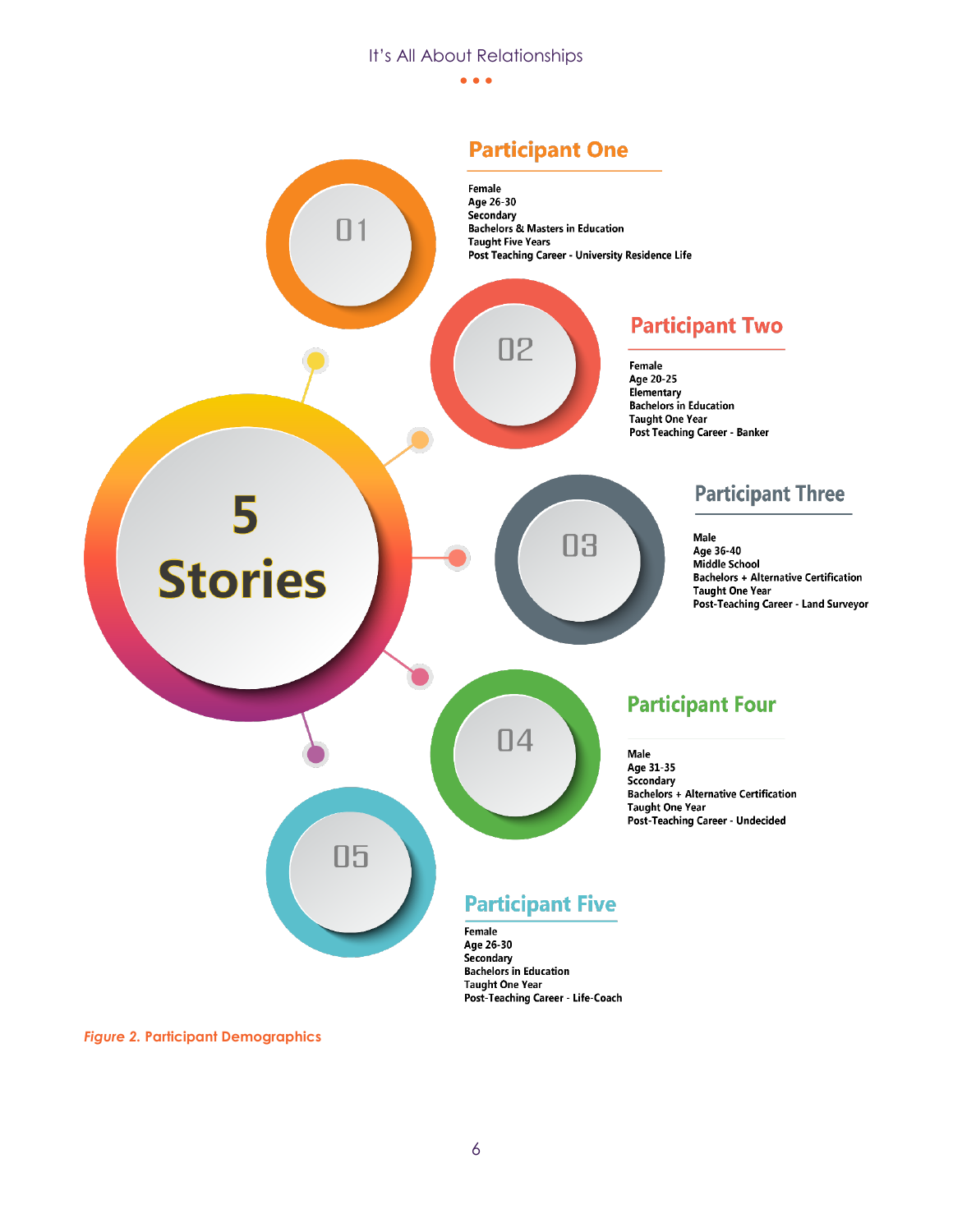• • •

# **Participant One**



*Figure 2.* **Participant Demographics**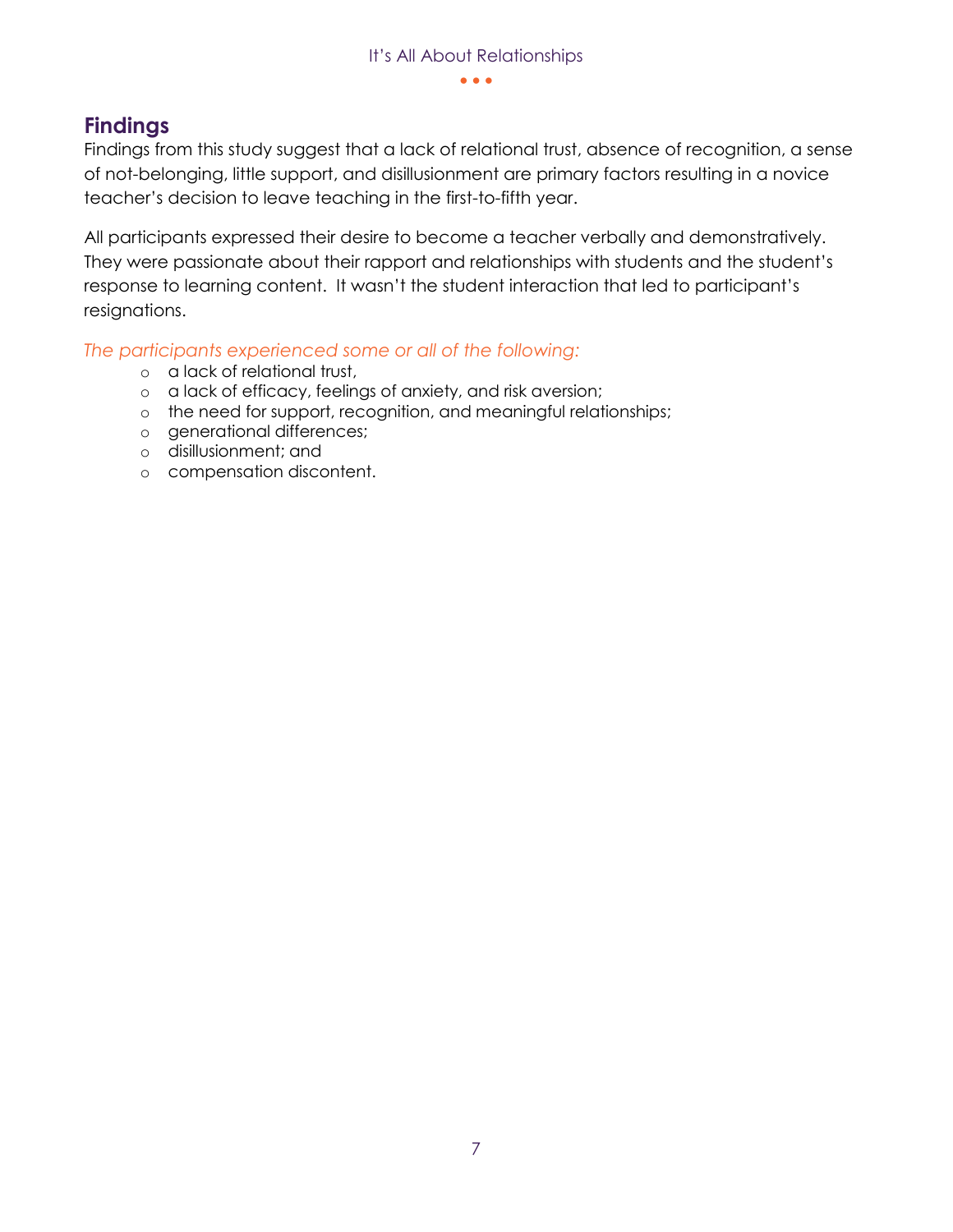#### • • •

## **Findings**

Findings from this study suggest that a lack of relational trust, absence of recognition, a sense of not-belonging, little support, and disillusionment are primary factors resulting in a novice teacher's decision to leave teaching in the first-to-fifth year.

All participants expressed their desire to become a teacher verbally and demonstratively. They were passionate about their rapport and relationships with students and the student's response to learning content. It wasn't the student interaction that led to participant's resignations.

*The participants experienced some or all of the following:*

- o a lack of relational trust,
- o a lack of efficacy, feelings of anxiety, and risk aversion;
- o the need for support, recognition, and meaningful relationships;
- o generational differences;
- o disillusionment; and
- o compensation discontent.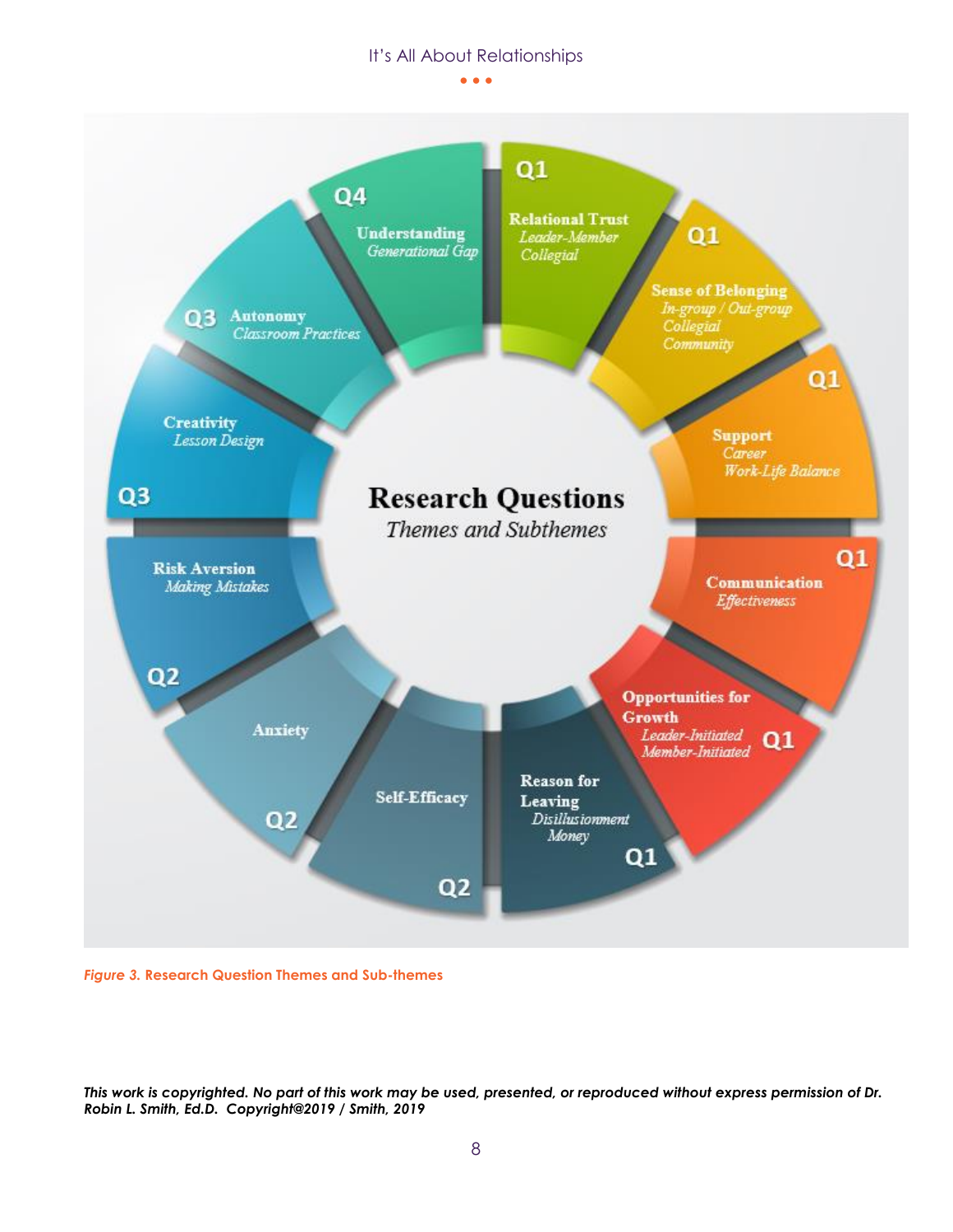

*Figure 3.* **Research Question Themes and Sub-themes**

*This work is copyrighted. No part of this work may be used, presented, or reproduced without express permission of Dr. Robin L. Smith, Ed.D. Copyright@2019 / Smith, 2019*